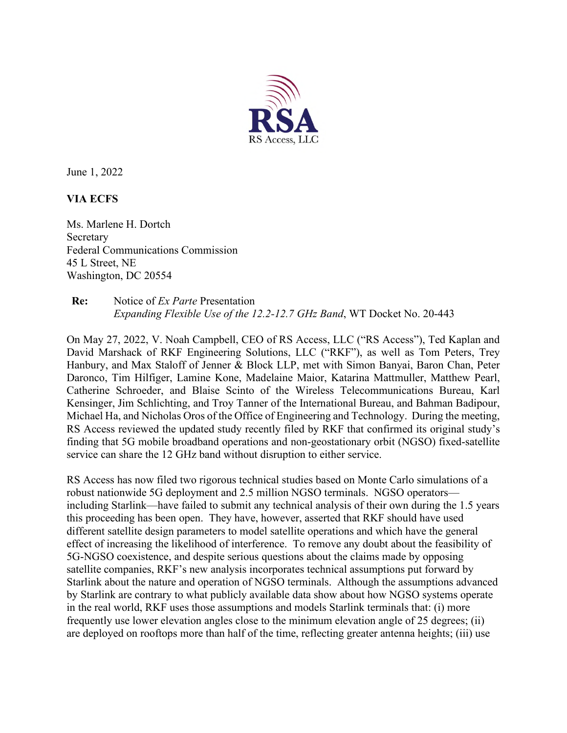

June 1, 2022

**VIA ECFS** 

Ms. Marlene H. Dortch Secretary Federal Communications Commission 45 L Street, NE Washington, DC 20554

## **Re:** Notice of *Ex Parte* Presentation *Expanding Flexible Use of the 12.2-12.7 GHz Band*, WT Docket No. 20-443

On May 27, 2022, V. Noah Campbell, CEO of RS Access, LLC ("RS Access"), Ted Kaplan and David Marshack of RKF Engineering Solutions, LLC ("RKF"), as well as Tom Peters, Trey Hanbury, and Max Staloff of Jenner & Block LLP, met with Simon Banyai, Baron Chan, Peter Daronco, Tim Hilfiger, Lamine Kone, Madelaine Maior, Katarina Mattmuller, Matthew Pearl, Catherine Schroeder, and Blaise Scinto of the Wireless Telecommunications Bureau, Karl Kensinger, Jim Schlichting, and Troy Tanner of the International Bureau, and Bahman Badipour, Michael Ha, and Nicholas Oros of the Office of Engineering and Technology. During the meeting, RS Access reviewed the updated study recently filed by RKF that confirmed its original study's finding that 5G mobile broadband operations and non-geostationary orbit (NGSO) fixed-satellite service can share the 12 GHz band without disruption to either service.

RS Access has now filed two rigorous technical studies based on Monte Carlo simulations of a robust nationwide 5G deployment and 2.5 million NGSO terminals. NGSO operators including Starlink—have failed to submit any technical analysis of their own during the 1.5 years this proceeding has been open. They have, however, asserted that RKF should have used different satellite design parameters to model satellite operations and which have the general effect of increasing the likelihood of interference. To remove any doubt about the feasibility of 5G-NGSO coexistence, and despite serious questions about the claims made by opposing satellite companies, RKF's new analysis incorporates technical assumptions put forward by Starlink about the nature and operation of NGSO terminals. Although the assumptions advanced by Starlink are contrary to what publicly available data show about how NGSO systems operate in the real world, RKF uses those assumptions and models Starlink terminals that: (i) more frequently use lower elevation angles close to the minimum elevation angle of 25 degrees; (ii) are deployed on rooftops more than half of the time, reflecting greater antenna heights; (iii) use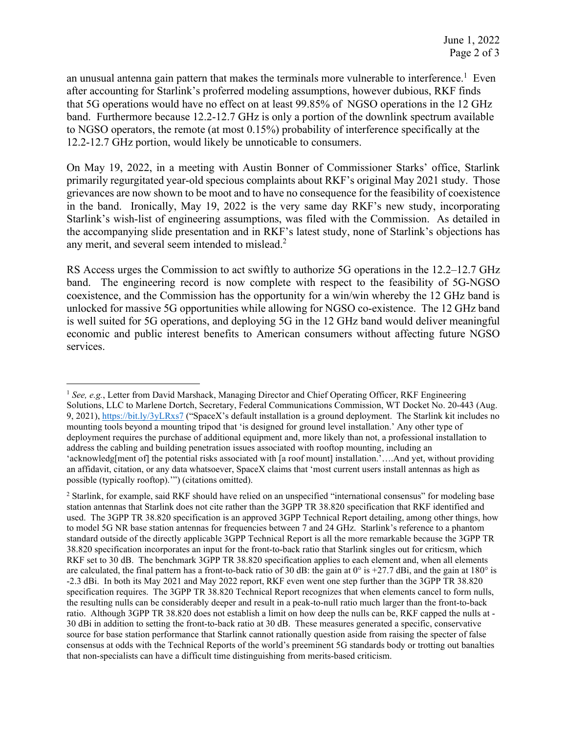an unusual antenna gain pattern that makes the terminals more vulnerable to interference.<sup>1</sup> Even after accounting for Starlink's proferred modeling assumptions, however dubious, RKF finds that 5G operations would have no effect on at least 99.85% of NGSO operations in the 12 GHz band. Furthermore because 12.2-12.7 GHz is only a portion of the downlink spectrum available to NGSO operators, the remote (at most 0.15%) probability of interference specifically at the 12.2-12.7 GHz portion, would likely be unnoticable to consumers.

On May 19, 2022, in a meeting with Austin Bonner of Commissioner Starks' office, Starlink primarily regurgitated year-old specious complaints about RKF's original May 2021 study. Those grievances are now shown to be moot and to have no consequence for the feasibility of coexistence in the band. Ironically, May 19, 2022 is the very same day RKF's new study, incorporating Starlink's wish-list of engineering assumptions, was filed with the Commission. As detailed in the accompanying slide presentation and in RKF's latest study, none of Starlink's objections has any merit, and several seem intended to mislead. $2$ 

RS Access urges the Commission to act swiftly to authorize 5G operations in the 12.2–12.7 GHz band. The engineering record is now complete with respect to the feasibility of 5G-NGSO coexistence, and the Commission has the opportunity for a win/win whereby the 12 GHz band is unlocked for massive 5G opportunities while allowing for NGSO co-existence. The 12 GHz band is well suited for 5G operations, and deploying 5G in the 12 GHz band would deliver meaningful economic and public interest benefits to American consumers without affecting future NGSO services.

<sup>1</sup> *See, e.g.*, Letter from David Marshack, Managing Director and Chief Operating Officer, RKF Engineering Solutions, LLC to Marlene Dortch, Secretary, Federal Communications Commission, WT Docket No. 20-443 (Aug. 9, 2021), https://bit.ly/3yLRxs7 ("SpaceX's default installation is a ground deployment. The Starlink kit includes no mounting tools beyond a mounting tripod that 'is designed for ground level installation.' Any other type of deployment requires the purchase of additional equipment and, more likely than not, a professional installation to address the cabling and building penetration issues associated with rooftop mounting, including an 'acknowledg[ment of] the potential risks associated with [a roof mount] installation.'....And yet, without providing an affidavit, citation, or any data whatsoever, SpaceX claims that 'most current users install antennas as high as possible (typically rooftop).'") (citations omitted).

<sup>2</sup> Starlink, for example, said RKF should have relied on an unspecified "international consensus" for modeling base station antennas that Starlink does not cite rather than the 3GPP TR 38.820 specification that RKF identified and used. The 3GPP TR 38.820 specification is an approved 3GPP Technical Report detailing, among other things, how to model 5G NR base station antennas for frequencies between 7 and 24 GHz. Starlink's reference to a phantom standard outside of the directly applicable 3GPP Technical Report is all the more remarkable because the 3GPP TR 38.820 specification incorporates an input for the front-to-back ratio that Starlink singles out for criticsm, which RKF set to 30 dB. The benchmark 3GPP TR 38.820 specification applies to each element and, when all elements are calculated, the final pattern has a front-to-back ratio of 30 dB: the gain at  $0^\circ$  is +27.7 dBi, and the gain at 180° is -2.3 dBi. In both its May 2021 and May 2022 report, RKF even went one step further than the 3GPP TR 38.820 specification requires. The 3GPP TR 38.820 Technical Report recognizes that when elements cancel to form nulls, the resulting nulls can be considerably deeper and result in a peak-to-null ratio much larger than the front-to-back ratio. Although 3GPP TR 38.820 does not establish a limit on how deep the nulls can be, RKF capped the nulls at - 30 dBi in addition to setting the front-to-back ratio at 30 dB. These measures generated a specific, conservative source for base station performance that Starlink cannot rationally question aside from raising the specter of false consensus at odds with the Technical Reports of the world's preeminent 5G standards body or trotting out banalties that non-specialists can have a difficult time distinguishing from merits-based criticism.